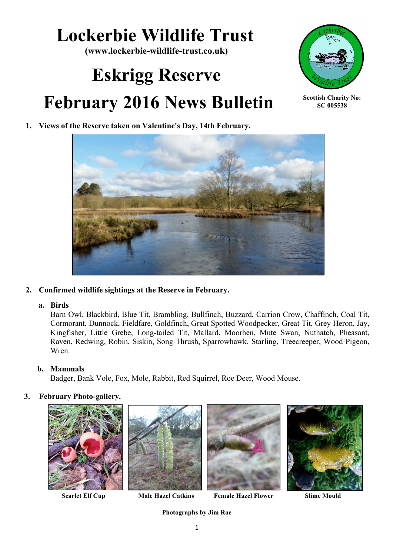# **Lockerbie Wildlife Trust**

**(www.lockerbie-wildlife-trust.co.uk)**

# **Eskrigg Reserve February 2016 News Bulletin**



**Scottish Charity No: SC 005538**

# **1. Views of the Reserve taken on Valentine's Day, 14th February.**



#### **2. Confirmed wildlife sightings at the Reserve in February.**

#### **a. Birds**

Barn Owl, Blackbird, Blue Tit, Brambling, Bullfinch, Buzzard, Carrion Crow, Chaffinch, Coal Tit, Cormorant, Dunnock, Fieldfare, Goldfinch, Great Spotted Woodpecker, Great Tit, Grey Heron, Jay, Kingfisher, Little Grebe, Long-tailed Tit, Mallard, Moorhen, Mute Swan, Nuthatch, Pheasant, Raven, Redwing, Robin, Siskin, Song Thrush, Sparrowhawk, Starling, Treecreeper, Wood Pigeon, Wren.

## **b. Mammals**

Badger, Bank Vole, Fox, Mole, Rabbit, Red Squirrel, Roe Deer, Wood Mouse.

#### **3. February Photo-gallery.**







 **Scarlet Elf Cup Male Hazel Catkins Female Hazel Flower Slime Mould**



**Photographs by Jim Rae**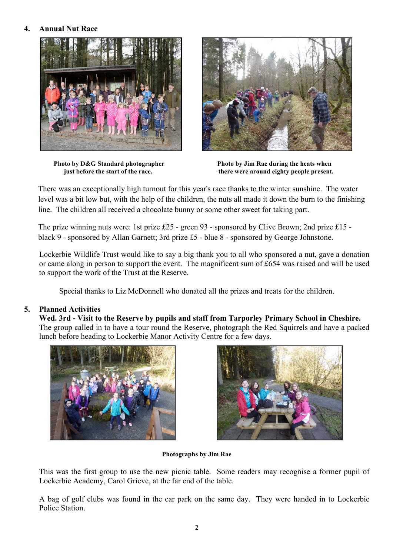### **4. Annual Nut Race**





**Photo by D&G Standard photographer Photo by Jim Rae during the heats when just before the start of the race.** there were around eighty people present.

There was an exceptionally high turnout for this year's race thanks to the winter sunshine. The water level was a bit low but, with the help of the children, the nuts all made it down the burn to the finishing line. The children all received a chocolate bunny or some other sweet for taking part.

The prize winning nuts were: 1st prize £25 - green 93 - sponsored by Clive Brown; 2nd prize £15 black 9 - sponsored by Allan Garnett; 3rd prize £5 - blue 8 - sponsored by George Johnstone.

Lockerbie Wildlife Trust would like to say a big thank you to all who sponsored a nut, gave a donation or came along in person to support the event. The magnificent sum of £654 was raised and will be used to support the work of the Trust at the Reserve.

Special thanks to Liz McDonnell who donated all the prizes and treats for the children.

#### **5. Planned Activities**

**Wed. 3rd - Visit to the Reserve by pupils and staff from Tarporley Primary School in Cheshire.** The group called in to have a tour round the Reserve, photograph the Red Squirrels and have a packed lunch before heading to Lockerbie Manor Activity Centre for a few days.





#### **Photographs by Jim Rae**

This was the first group to use the new picnic table. Some readers may recognise a former pupil of Lockerbie Academy, Carol Grieve, at the far end of the table.

A bag of golf clubs was found in the car park on the same day. They were handed in to Lockerbie Police Station.